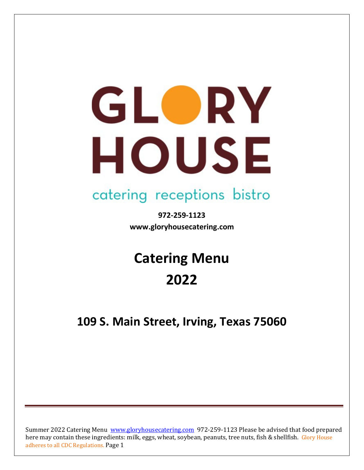# GLORY HOUSE

## catering receptions bistro

**972-259-1123 www.gloryhousecatering.com**

# **Catering Menu 2022**

### **109 S. Main Street, Irving, Texas 75060**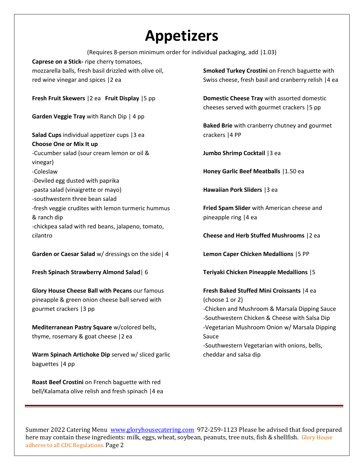## **Appetizers**

(Requires 8-person minimum order for individual packaging, add |1.03) **Caprese on a Stick-** ripe cherry tomatoes, mozzarella balls, fresh basil drizzled with olive oil, red wine vinegar and spices |2 ea **Fresh Fruit Skewers** |2 ea **Fruit Display** |5 pp **Garden Veggie Tray** with Ranch Dip | 4 pp **Salad Cups** individual appetizer cups |3 ea **Choose One or Mix It up** -Cucumber salad (sour cream lemon or oil & vinegar) -Coleslaw -Deviled egg dusted with paprika -pasta salad (vinaigrette or mayo) -southwestern three bean salad -fresh veggie crudites with lemon turmeric hummus & ranch dip -chickpea salad with red beans, jalapeno, tomato, cilantro **Garden or Caesar Salad** w/ dressings on the side| 4 **Fresh Spinach Strawberry Almond Salad**| 6 **Glory House Cheese Ball with Pecans** our famous pineapple & green onion cheese ball served with gourmet crackers |3 pp **Smoked Turkey Crostini** on French baguette with **Domestic Cheese Tray** with assorted domestic cheeses served with gourmet crackers |5 pp **Baked Brie** with cranberry chutney and gourmet crackers |4 PP **Jumbo Shrimp Cocktail** |3 ea **Honey Garlic Beef Meatballs** |1.50 ea **Hawaiian Pork Sliders** |3 ea **Fried Spam Slider** with American cheese and pineapple ring |4 ea **Cheese and Herb Stuffed Mushrooms** |2 ea **Lemon Caper Chicken Medallions** |5 PP **Teriyaki Chicken Pineapple Medallions** |5 **Fresh Baked Stuffed Mini Croissants** |4 ea (choose 1 or 2)

**Mediterranean Pastry Square** w/colored bells, thyme, rosemary & goat cheese |2 ea

**Warm Spinach Artichoke Dip** served w/ sliced garlic baguettes |4 pp

**Roast Beef Crostini** on French baguette with red bell/Kalamata olive relish and fresh spinach |4 ea Swiss cheese, fresh basil and cranberry relish |4 ea

-Chicken and Mushroom & Marsala Dipping Sauce -Southwestern Chicken & Cheese with Salsa Dip -Vegetarian Mushroom Onion w/ Marsala Dipping Sauce

-Southwestern Vegetarian with onions, bells, cheddar and salsa dip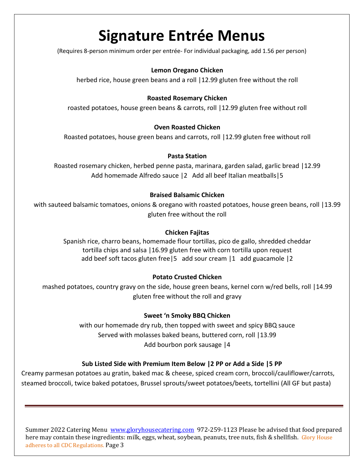## **Signature Entrée Menus**

(Requires 8-person minimum order per entrée- For individual packaging, add 1.56 per person)

#### **Lemon Oregano Chicken**

herbed rice, house green beans and a roll | 12.99 gluten free without the roll

#### **Roasted Rosemary Chicken**

roasted potatoes, house green beans & carrots, roll |12.99 gluten free without roll

#### **Oven Roasted Chicken**

Roasted potatoes, house green beans and carrots, roll |12.99 gluten free without roll

#### **Pasta Station**

Roasted rosemary chicken, herbed penne pasta, marinara, garden salad, garlic bread |12.99 Add homemade Alfredo sauce |2 Add all beef Italian meatballs|5

#### **Braised Balsamic Chicken**

with sauteed balsamic tomatoes, onions & oregano with roasted potatoes, house green beans, roll |13.99 gluten free without the roll

#### **Chicken Fajitas**

Spanish rice, charro beans, homemade flour tortillas, pico de gallo, shredded cheddar tortilla chips and salsa |16.99 gluten free with corn tortilla upon request add beef soft tacos gluten free|5 add sour cream |1 add guacamole |2

#### **Potato Crusted Chicken**

mashed potatoes, country gravy on the side, house green beans, kernel corn w/red bells, roll |14.99 gluten free without the roll and gravy

#### **Sweet 'n Smoky BBQ Chicken**

with our homemade dry rub, then topped with sweet and spicy BBQ sauce Served with molasses baked beans, buttered corn, roll |13.99 Add bourbon pork sausage |4

#### **Sub Listed Side with Premium Item Below |2 PP or Add a Side |5 PP**

Creamy parmesan potatoes au gratin, baked mac & cheese, spiced cream corn, broccoli/cauliflower/carrots, steamed broccoli, twice baked potatoes, Brussel sprouts/sweet potatoes/beets, tortellini (All GF but pasta)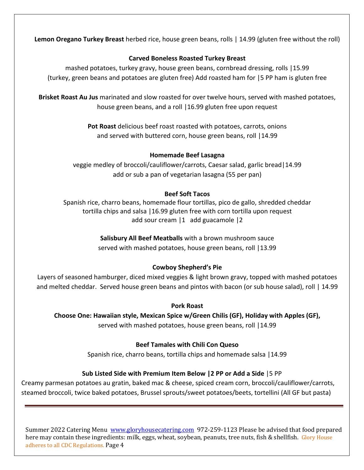**Lemon Oregano Turkey Breast** herbed rice, house green beans, rolls | 14.99 (gluten free without the roll)

#### **Carved Boneless Roasted Turkey Breast**

mashed potatoes, turkey gravy, house green beans, cornbread dressing, rolls |15.99 (turkey, green beans and potatoes are gluten free) Add roasted ham for |5 PP ham is gluten free

**Brisket Roast Au Jus** marinated and slow roasted for over twelve hours, served with mashed potatoes, house green beans, and a roll |16.99 gluten free upon request

> **Pot Roast** delicious beef roast roasted with potatoes, carrots, onions and served with buttered corn, house green beans, roll |14.99

#### **Homemade Beef Lasagna**

veggie medley of broccoli/cauliflower/carrots, Caesar salad, garlic bread|14.99 add or sub a pan of vegetarian lasagna (55 per pan)

#### **Beef Soft Tacos**

Spanish rice, charro beans, homemade flour tortillas, pico de gallo, shredded cheddar tortilla chips and salsa |16.99 gluten free with corn tortilla upon request add sour cream |1 add guacamole |2

> **Salisbury All Beef Meatballs** with a brown mushroom sauce served with mashed potatoes, house green beans, roll |13.99

#### **Cowboy Shepherd's Pie**

Layers of seasoned hamburger, diced mixed veggies & light brown gravy, topped with mashed potatoes and melted cheddar. Served house green beans and pintos with bacon (or sub house salad), roll | 14.99

#### **Pork Roast**

**Choose One: Hawaiian style, Mexican Spice w/Green Chilis (GF), Holiday with Apples (GF),**  served with mashed potatoes, house green beans, roll |14.99

#### **Beef Tamales with Chili Con Queso**

Spanish rice, charro beans, tortilla chips and homemade salsa |14.99

#### **Sub Listed Side with Premium Item Below |2 PP or Add a Side** |5 PP

Creamy parmesan potatoes au gratin, baked mac & cheese, spiced cream corn, broccoli/cauliflower/carrots, steamed broccoli, twice baked potatoes, Brussel sprouts/sweet potatoes/beets, tortellini (All GF but pasta)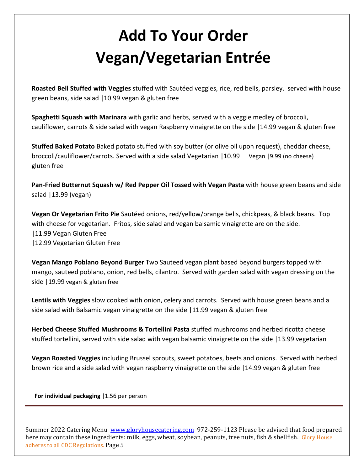# **Add To Your Order Vegan/Vegetarian Entrée**

**Roasted Bell Stuffed with Veggies** stuffed with Sautéed veggies, rice, red bells, parsley. served with house green beans, side salad |10.99 vegan & gluten free

**Spaghetti Squash with Marinara** with garlic and herbs, served with a veggie medley of broccoli, cauliflower, carrots & side salad with vegan Raspberry vinaigrette on the side |14.99 vegan & gluten free

**Stuffed Baked Potato** Baked potato stuffed with soy butter (or olive oil upon request), cheddar cheese, broccoli/cauliflower/carrots. Served with a side salad Vegetarian |10.99Vegan |9.99 (no cheese) gluten free

**Pan-Fried Butternut Squash w/ Red Pepper Oil Tossed with Vegan Pasta** with house green beans and side salad |13.99 (vegan)

**Vegan Or Vegetarian Frito Pie** Sautéed onions, red/yellow/orange bells, chickpeas, & black beans. Top with cheese for vegetarian. Fritos, side salad and vegan balsamic vinaigrette are on the side. |11.99 Vegan Gluten Free |12.99 Vegetarian Gluten Free

**Vegan Mango Poblano Beyond Burger** Two Sauteed vegan plant based beyond burgers topped with mango, sauteed poblano, onion, red bells, cilantro. Served with garden salad with vegan dressing on the side |19.99 vegan & gluten free

**Lentils with Veggies** slow cooked with onion, celery and carrots. Served with house green beans and a side salad with Balsamic vegan vinaigrette on the side |11.99 vegan & gluten free

**Herbed Cheese Stuffed Mushrooms & Tortellini Pasta** stuffed mushrooms and herbed ricotta cheese stuffed tortellini, served with side salad with vegan balsamic vinaigrette on the side |13.99 vegetarian

**Vegan Roasted Veggies** including Brussel sprouts, sweet potatoes, beets and onions. Served with herbed brown rice and a side salad with vegan raspberry vinaigrette on the side |14.99 vegan & gluten free

 **For individual packaging** |1.56 per person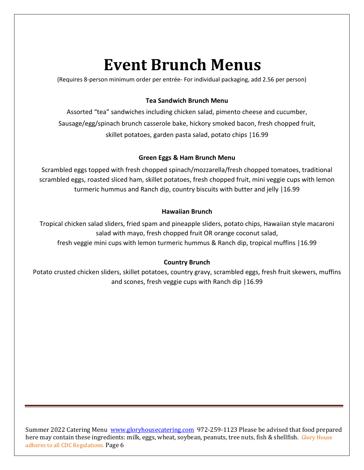## **Event Brunch Menus**

(Requires 8-person minimum order per entrée- For individual packaging, add 2.56 per person)

#### **Tea Sandwich Brunch Menu**

Assorted "tea" sandwiches including chicken salad, pimento cheese and cucumber, Sausage/egg/spinach brunch casserole bake, hickory smoked bacon, fresh chopped fruit, skillet potatoes, garden pasta salad, potato chips |16.99

#### **Green Eggs & Ham Brunch Menu**

Scrambled eggs topped with fresh chopped spinach/mozzarella/fresh chopped tomatoes, traditional scrambled eggs, roasted sliced ham, skillet potatoes, fresh chopped fruit, mini veggie cups with lemon turmeric hummus and Ranch dip, country biscuits with butter and jelly |16.99

#### **Hawaiian Brunch**

Tropical chicken salad sliders, fried spam and pineapple sliders, potato chips, Hawaiian style macaroni salad with mayo, fresh chopped fruit OR orange coconut salad, fresh veggie mini cups with lemon turmeric hummus & Ranch dip, tropical muffins |16.99

#### **Country Brunch**

Potato crusted chicken sliders, skillet potatoes, country gravy, scrambled eggs, fresh fruit skewers, muffins and scones, fresh veggie cups with Ranch dip |16.99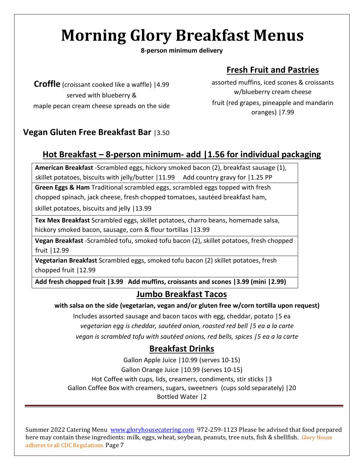# **Morning Glory Breakfast Menus**

**8-person minimum delivery**

#### **Fresh Fruit and Pastries**

**Croffle** (croissant cooked like a waffle) |4.99 served with blueberry & maple pecan cream cheese spreads on the side assorted muffins, iced scones & croissants w/blueberry cream cheese fruit (red grapes, pineapple and mandarin oranges) |7.99

#### **Vegan Gluten Free Breakfast Bar** |3.50

#### **Hot Breakfast – 8-person minimum- add |1.56 for individual packaging**

**American Breakfast** -Scrambled eggs, hickory smoked bacon (2), breakfast sausage (1), skillet potatoes, biscuits with jelly/butter | 11.99 Add country gravy for | 1.25 PP

**Green Eggs & Ham** Traditional scrambled eggs, scrambled eggs topped with fresh chopped spinach, jack cheese, fresh chopped tomatoes, sautéed breakfast ham,

skillet potatoes, biscuits and jelly |13.99

**Tex Mex Breakfast** Scrambled eggs, skillet potatoes, charro beans, homemade salsa, hickory smoked bacon, sausage, corn & flour tortillas | 13.99

**Vegan Breakfast** -Scrambled tofu, smoked tofu bacon (2), skillet potatoes, fresh chopped fruit |12.99

**Vegetarian Breakfast** Scrambled eggs, smoked tofu bacon (2) skillet potatoes, fresh chopped fruit |12.99

**Add fresh chopped fruit |3.99 Add muffins, croissants and scones |3.99 (mini |2.99)**

#### **Jumbo Breakfast Tacos**

**with salsa on the side (vegetarian, vegan and/or gluten free w/corn tortilla upon request)**

Includes assorted sausage and bacon tacos with egg, cheddar, potato |5 ea *vegetarian egg is cheddar, sautéed onion, roasted red bell |5 ea a la carte vegan is scrambled tofu with sautéed onions, red bells, spices |5 ea a la carte*

#### **Breakfast Drinks**

Gallon Apple Juice |10.99 (serves 10-15) Gallon Orange Juice |10.99 (serves 10-15) Hot Coffee with cups, lids, creamers, condiments, stir sticks |3 Gallon Coffee Box with creamers, sugars, sweetners (cups sold separately) |20 Bottled Water |2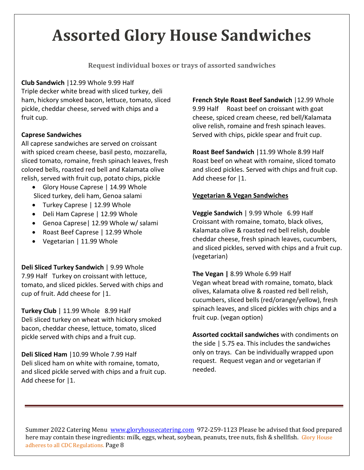# **Assorted Glory House Sandwiches**

**Request individual boxes or trays of assorted sandwiches**

**Club Sandwich** |12.99 Whole 9.99 Half Triple decker white bread with sliced turkey, deli ham, hickory smoked bacon, lettuce, tomato, sliced pickle, cheddar cheese, served with chips and a fruit cup.

#### **Caprese Sandwiches**

All caprese sandwiches are served on croissant with spiced cream cheese, basil pesto, mozzarella, sliced tomato, romaine, fresh spinach leaves, fresh colored bells, roasted red bell and Kalamata olive relish, served with fruit cup, potato chips, pickle

- Glory House Caprese | 14.99 Whole Sliced turkey, deli ham, Genoa salami
- Turkey Caprese | 12.99 Whole
- Deli Ham Caprese | 12.99 Whole
- Genoa Caprese| 12.99 Whole w/ salami
- Roast Beef Caprese | 12.99 Whole
- Vegetarian | 11.99 Whole

**Deli Sliced Turkey Sandwich** | 9.99 Whole 7.99 Half Turkey on croissant with lettuce, tomato, and sliced pickles. Served with chips and cup of fruit. Add cheese for |1.

**Turkey Club** | 11.99 Whole 8.99 Half Deli sliced turkey on wheat with hickory smoked bacon, cheddar cheese, lettuce, tomato, sliced pickle served with chips and a fruit cup.

**Deli Sliced Ham** |10.99 Whole 7.99 Half Deli sliced ham on white with romaine, tomato, and sliced pickle served with chips and a fruit cup. Add cheese for |1.

**French Style Roast Beef Sandwich** |12.99 Whole 9.99 Half Roast beef on croissant with goat cheese, spiced cream cheese, red bell/Kalamata olive relish, romaine and fresh spinach leaves. Served with chips, pickle spear and fruit cup.

**Roast Beef Sandwich** |11.99 Whole 8.99 Half Roast beef on wheat with romaine, sliced tomato and sliced pickles. Served with chips and fruit cup. Add cheese for |1.

#### **Vegetarian & Vegan Sandwiches**

**Veggie Sandwich** | 9.99 Whole 6.99 Half Croissant with romaine, tomato, black olives, Kalamata olive & roasted red bell relish, double cheddar cheese, fresh spinach leaves, cucumbers, and sliced pickles, served with chips and a fruit cup. (vegetarian)

#### **The Vegan |** 8.99 Whole 6.99 Half

Vegan wheat bread with romaine, tomato, black olives, Kalamata olive & roasted red bell relish, cucumbers, sliced bells (red/orange/yellow), fresh spinach leaves, and sliced pickles with chips and a fruit cup. (vegan option)

**Assorted cocktail sandwiches** with condiments on the side | 5.75 ea. This includes the sandwiches only on trays. Can be individually wrapped upon request. Request vegan and or vegetarian if needed.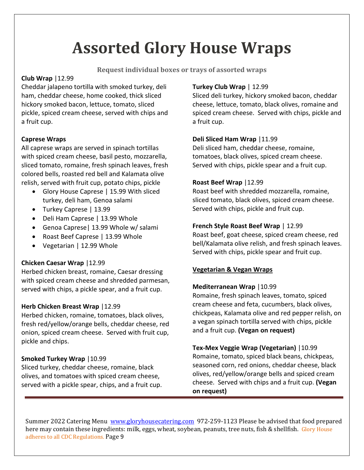# **Assorted Glory House Wraps**

**Request individual boxes or trays of assorted wraps**

#### **Club Wrap** |12.99

Cheddar jalapeno tortilla with smoked turkey, deli ham, cheddar cheese, home cooked, thick sliced hickory smoked bacon, lettuce, tomato, sliced pickle, spiced cream cheese, served with chips and a fruit cup.

#### **Caprese Wraps**

All caprese wraps are served in spinach tortillas with spiced cream cheese, basil pesto, mozzarella, sliced tomato, romaine, fresh spinach leaves, fresh colored bells, roasted red bell and Kalamata olive relish, served with fruit cup, potato chips, pickle

- Glory House Caprese | 15.99 With sliced turkey, deli ham, Genoa salami
- Turkey Caprese | 13.99
- Deli Ham Caprese | 13.99 Whole
- Genoa Caprese| 13.99 Whole w/ salami
- Roast Beef Caprese | 13.99 Whole
- Vegetarian | 12.99 Whole

#### **Chicken Caesar Wrap** |12.99

Herbed chicken breast, romaine, Caesar dressing with spiced cream cheese and shredded parmesan, served with chips, a pickle spear, and a fruit cup.

#### **Herb Chicken Breast Wrap** |12.99

Herbed chicken, romaine, tomatoes, black olives, fresh red/yellow/orange bells, cheddar cheese, red onion, spiced cream cheese. Served with fruit cup, pickle and chips.

#### **Smoked Turkey Wrap** |10.99

Sliced turkey, cheddar cheese, romaine, black olives, and tomatoes with spiced cream cheese, served with a pickle spear, chips, and a fruit cup.

#### **Turkey Club Wrap** | 12.99

Sliced deli turkey, hickory smoked bacon, cheddar cheese, lettuce, tomato, black olives, romaine and spiced cream cheese. Served with chips, pickle and a fruit cup.

#### **Deli Sliced Ham Wrap** |11.99

Deli sliced ham, cheddar cheese, romaine, tomatoes, black olives, spiced cream cheese. Served with chips, pickle spear and a fruit cup.

#### **Roast Beef Wrap** |12.99

Roast beef with shredded mozzarella, romaine, sliced tomato, black olives, spiced cream cheese. Served with chips, pickle and fruit cup.

#### **French Style Roast Beef Wrap** | 12.99

Roast beef, goat cheese, spiced cream cheese, red bell/Kalamata olive relish, and fresh spinach leaves. Served with chips, pickle spear and fruit cup.

#### **Vegetarian & Vegan Wraps**

#### **Mediterranean Wrap** | 10.99

Romaine, fresh spinach leaves, tomato, spiced cream cheese and feta, cucumbers, black olives, chickpeas, Kalamata olive and red pepper relish, on a vegan spinach tortilla served with chips, pickle and a fruit cup. **(Vegan on request)**

**Tex-Mex Veggie Wrap (Vegetarian)** |10.99 Romaine, tomato, spiced black beans, chickpeas, seasoned corn, red onions, cheddar cheese, black olives, red/yellow/orange bells and spiced cream cheese. Served with chips and a fruit cup. **(Vegan on request)**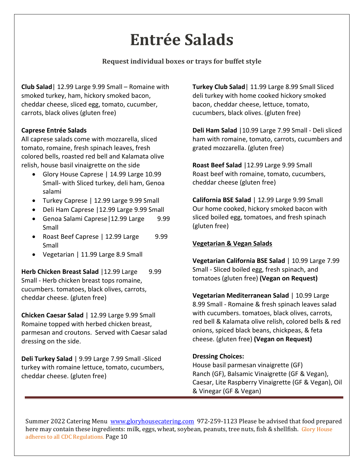# **Entrée Salads**

#### **Request individual boxes or trays for buffet style**

**Club Salad**| 12.99 Large 9.99 Small – Romaine with smoked turkey, ham, hickory smoked bacon, cheddar cheese, sliced egg, tomato, cucumber, carrots, black olives (gluten free)

#### **Caprese Entrée Salads**

All caprese salads come with mozzarella, sliced tomato, romaine, fresh spinach leaves, fresh colored bells, roasted red bell and Kalamata olive relish, house basil vinaigrette on the side

- Glory House Caprese | 14.99 Large 10.99 Small- with Sliced turkey, deli ham, Genoa salami
- Turkey Caprese | 12.99 Large 9.99 Small
- Deli Ham Caprese |12.99 Large 9.99 Small
- Genoa Salami Caprese | 12.99 Large 9.99 Small
- Roast Beef Caprese | 12.99 Large 9.99 Small
- Vegetarian | 11.99 Large 8.9 Small

**Herb Chicken Breast Salad | 12.99 Large 9.99** Small - Herb chicken breast tops romaine, cucumbers. tomatoes, black olives, carrots, cheddar cheese. (gluten free)

**Chicken Caesar Salad** | 12.99 Large 9.99 Small Romaine topped with herbed chicken breast, parmesan and croutons. Served with Caesar salad dressing on the side.

**Deli Turkey Salad** | 9.99 Large 7.99 Small -Sliced turkey with romaine lettuce, tomato, cucumbers, cheddar cheese. (gluten free)

**Turkey Club Salad**| 11.99 Large 8.99 Small Sliced deli turkey with home cooked hickory smoked bacon, cheddar cheese, lettuce, tomato, cucumbers, black olives. (gluten free)

**Deli Ham Salad** |10.99 Large 7.99 Small - Deli sliced ham with romaine, tomato, carrots, cucumbers and grated mozzarella. (gluten free)

**Roast Beef Salad** |12.99 Large 9.99 Small Roast beef with romaine, tomato, cucumbers, cheddar cheese (gluten free)

**California BSE Salad** | 12.99 Large 9.99 Small Our home cooked, hickory smoked bacon with sliced boiled egg, tomatoes, and fresh spinach (gluten free)

#### **Vegetarian & Vegan Salads**

**Vegetarian California BSE Salad** | 10.99 Large 7.99 Small - Sliced boiled egg, fresh spinach, and tomatoes (gluten free) **(Vegan on Request)**

**Vegetarian Mediterranean Salad** | 10.99 Large 8.99 Small - Romaine & fresh spinach leaves salad with cucumbers. tomatoes, black olives, carrots, red bell & Kalamata olive relish, colored bells & red onions, spiced black beans, chickpeas, & feta cheese. (gluten free) **(Vegan on Request)**

#### **Dressing Choices:**

House basil parmesan vinaigrette (GF) Ranch (GF), Balsamic Vinaigrette (GF & Vegan), Caesar, Lite Raspberry Vinaigrette (GF & Vegan), Oil & Vinegar (GF & Vegan)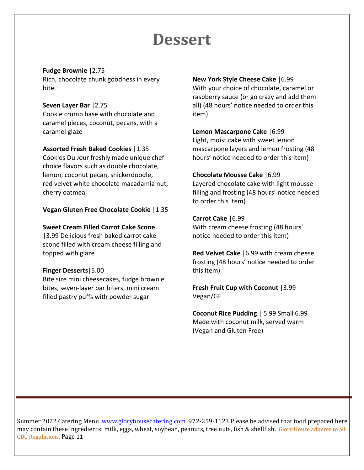## **Dessert**

**Fudge Brownie** |2.75 Rich, chocolate chunk goodness in every bite

#### **Seven Layer Bar** |2.75

Cookie crumb base with chocolate and caramel pieces, coconut, pecans, with a caramel glaze

#### **Assorted Fresh Baked Cookies** |1.35

Cookies Du Jour freshly made unique chef choice flavors such as double chocolate, lemon, coconut pecan, snickerdoodle, red velvet white chocolate macadamia nut, cherry oatmeal

#### **Vegan Gluten Free Chocolate Cookie** |1.35

#### **Sweet Cream Filled Carrot Cake Scone**

|3.99 Delicious fresh baked carrot cake scone filled with cream cheese filling and topped with glaze

#### **Finger Desserts**|5.00

Bite size mini cheesecakes, fudge brownie bites, seven-layer bar biters, mini cream filled pastry puffs with powder sugar

#### **New York Style Cheese Cake** |6.99

With your choice of chocolate, caramel or raspberry sauce (or go crazy and add them all) (48 hours' notice needed to order this item)

#### **Lemon Mascarpone Cake** |6.99

Light, moist cake with sweet lemon mascarpone layers and lemon frosting (48 hours' notice needed to order this item)

#### **Chocolate Mousse Cake** |6.99

Layered chocolate cake with light mousse filling and frosting (48 hours' notice needed to order this item)

#### **Carrot Cake** |6.99

With cream cheese frosting (48 hours' notice needed to order this item)

**Red Velvet Cake** |6.99 with cream cheese frosting (48 hours' notice needed to order this item)

**Fresh Fruit Cup with Coconut** |3.99 Vegan/GF

**Coconut Rice Pudding** | 5.99 Small 6.99 Made with coconut milk, served warm (Vegan and Gluten Free)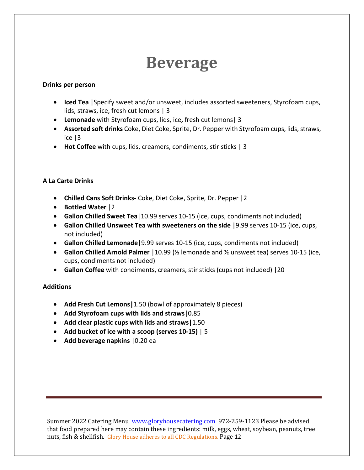## **Beverage**

#### **Drinks per person**

- **Iced Tea** |Specify sweet and/or unsweet, includes assorted sweeteners, Styrofoam cups, lids, straws, ice, fresh cut lemons | 3
- **Lemonade** with Styrofoam cups, lids, ice**,** fresh cut lemons| 3
- **Assorted soft drinks** Coke, Diet Coke, Sprite, Dr. Pepper with Styrofoam cups, lids, straws, ice |3
- **Hot Coffee** with cups, lids, creamers, condiments, stir sticks | 3

#### **A La Carte Drinks**

- **Chilled Cans Soft Drinks-** Coke, Diet Coke, Sprite, Dr. Pepper |2
- **Bottled Water** |2
- **Gallon Chilled Sweet Tea**|10.99 serves 10-15 (ice, cups, condiments not included)
- **Gallon Chilled Unsweet Tea with sweeteners on the side** |9.99 serves 10-15 (ice, cups, not included)
- **Gallon Chilled Lemonade**|9.99 serves 10-15 (ice, cups, condiments not included)
- **Gallon Chilled Arnold Palmer** |10.99 (½ lemonade and ½ unsweet tea) serves 10-15 (ice, cups, condiments not included)
- **Gallon Coffee** with condiments, creamers, stir sticks (cups not included) |20

#### **Additions**

- **Add Fresh Cut Lemons|**1.50 (bowl of approximately 8 pieces)
- **Add Styrofoam cups with lids and straws|**0.85
- **Add clear plastic cups with lids and straws|**1.50
- **Add bucket of ice with a scoop (serves 10-15)** | 5
- **Add beverage napkins** |0.20 ea